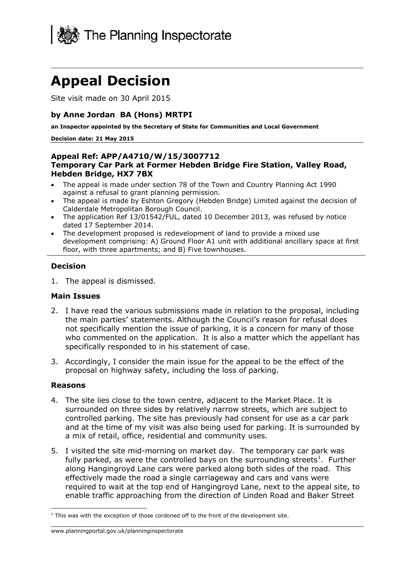

# **Appeal Decision**

Site visit made on 30 April 2015

### **by Anne Jordan BA (Hons) MRTPI**

**an Inspector appointed by the Secretary of State for Communities and Local Government**

#### **Decision date: 21 May 2015**

#### **Appeal Ref: APP/A4710/W/15/3007712 Temporary Car Park at Former Hebden Bridge Fire Station, Valley Road, Hebden Bridge, HX7 7BX**

- The appeal is made under section 78 of the Town and Country Planning Act 1990 against a refusal to grant planning permission.
- The appeal is made by Eshton Gregory (Hebden Bridge) Limited against the decision of Calderdale Metropolitan Borough Council.
- The application Ref 13/01542/FUL, dated 10 December 2013, was refused by notice dated 17 September 2014.
- The development proposed is redevelopment of land to provide a mixed use development comprising: A) Ground Floor A1 unit with additional ancillary space at first floor, with three apartments; and B) Five townhouses.

### **Decision**

1. The appeal is dismissed.

### **Main Issues**

- 2. I have read the various submissions made in relation to the proposal, including the main parties' statements. Although the Council's reason for refusal does not specifically mention the issue of parking, it is a concern for many of those who commented on the application. It is also a matter which the appellant has specifically responded to in his statement of case.
- 3. Accordingly, I consider the main issue for the appeal to be the effect of the proposal on highway safety, including the loss of parking.

### **Reasons**

- 4. The site lies close to the town centre, adjacent to the Market Place. It is surrounded on three sides by relatively narrow streets, which are subject to controlled parking. The site has previously had consent for use as a car park and at the time of my visit was also being used for parking. It is surrounded by a mix of retail, office, residential and community uses.
- 5. I visited the site mid-morning on market day. The temporary car park was fully parked, as were the controlled bays on the surrounding streets<sup>1</sup>. Further along Hangingroyd Lane cars were parked along both sides of the road. This effectively made the road a single carriageway and cars and vans were required to wait at the top end of Hangingroyd Lane, next to the appeal site, to enable traffic approaching from the direction of Linden Road and Baker Street

 $1$  This was with the exception of those cordoned off to the front of the development site. j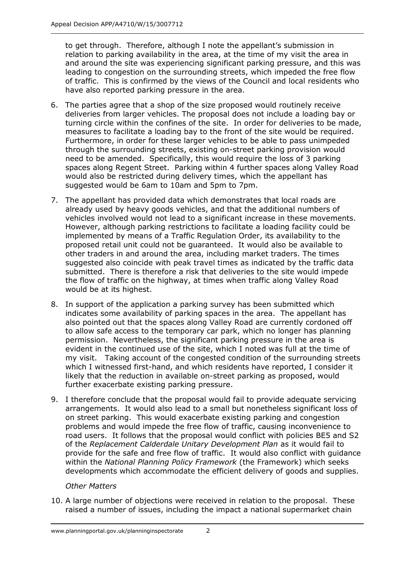to get through. Therefore, although I note the appellant's submission in relation to parking availability in the area, at the time of my visit the area in and around the site was experiencing significant parking pressure, and this was leading to congestion on the surrounding streets, which impeded the free flow of traffic. This is confirmed by the views of the Council and local residents who have also reported parking pressure in the area.

- 6. The parties agree that a shop of the size proposed would routinely receive deliveries from larger vehicles. The proposal does not include a loading bay or turning circle within the confines of the site. In order for deliveries to be made, measures to facilitate a loading bay to the front of the site would be required. Furthermore, in order for these larger vehicles to be able to pass unimpeded through the surrounding streets, existing on-street parking provision would need to be amended. Specifically, this would require the loss of 3 parking spaces along Regent Street. Parking within 4 further spaces along Valley Road would also be restricted during delivery times, which the appellant has suggested would be 6am to 10am and 5pm to 7pm.
- 7. The appellant has provided data which demonstrates that local roads are already used by heavy goods vehicles, and that the additional numbers of vehicles involved would not lead to a significant increase in these movements. However, although parking restrictions to facilitate a loading facility could be implemented by means of a Traffic Regulation Order, its availability to the proposed retail unit could not be guaranteed. It would also be available to other traders in and around the area, including market traders. The times suggested also coincide with peak travel times as indicated by the traffic data submitted. There is therefore a risk that deliveries to the site would impede the flow of traffic on the highway, at times when traffic along Valley Road would be at its highest.
- 8. In support of the application a parking survey has been submitted which indicates some availability of parking spaces in the area. The appellant has also pointed out that the spaces along Valley Road are currently cordoned off to allow safe access to the temporary car park, which no longer has planning permission. Nevertheless, the significant parking pressure in the area is evident in the continued use of the site, which I noted was full at the time of my visit. Taking account of the congested condition of the surrounding streets which I witnessed first-hand, and which residents have reported, I consider it likely that the reduction in available on-street parking as proposed, would further exacerbate existing parking pressure.
- 9. I therefore conclude that the proposal would fail to provide adequate servicing arrangements. It would also lead to a small but nonetheless significant loss of on street parking. This would exacerbate existing parking and congestion problems and would impede the free flow of traffic, causing inconvenience to road users. It follows that the proposal would conflict with policies BE5 and S2 of the *Replacement Calderdale Unitary Development Plan* as it would fail to provide for the safe and free flow of traffic. It would also conflict with guidance within the *National Planning Policy Framework* (the Framework) which seeks developments which accommodate the efficient delivery of goods and supplies.

## *Other Matters*

10. A large number of objections were received in relation to the proposal. These raised a number of issues, including the impact a national supermarket chain